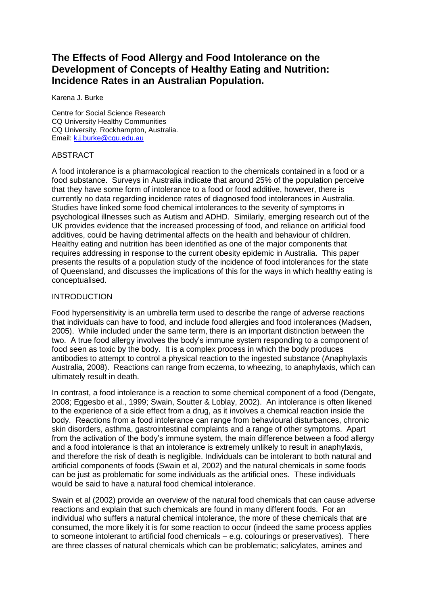# **The Effects of Food Allergy and Food Intolerance on the Development of Concepts of Healthy Eating and Nutrition: Incidence Rates in an Australian Population.**

Karena J. Burke

Centre for Social Science Research CQ University Healthy Communities CQ University, Rockhampton, Australia. Email: [k.j.burke@cqu.edu.au](mailto:k.j.burke@cqu.edu.au)

#### ABSTRACT

A food intolerance is a pharmacological reaction to the chemicals contained in a food or a food substance. Surveys in Australia indicate that around 25% of the population perceive that they have some form of intolerance to a food or food additive, however, there is currently no data regarding incidence rates of diagnosed food intolerances in Australia. Studies have linked some food chemical intolerances to the severity of symptoms in psychological illnesses such as Autism and ADHD. Similarly, emerging research out of the UK provides evidence that the increased processing of food, and reliance on artificial food additives, could be having detrimental affects on the health and behaviour of children. Healthy eating and nutrition has been identified as one of the major components that requires addressing in response to the current obesity epidemic in Australia. This paper presents the results of a population study of the incidence of food intolerances for the state of Queensland, and discusses the implications of this for the ways in which healthy eating is conceptualised.

#### INTRODUCTION

Food hypersensitivity is an umbrella term used to describe the range of adverse reactions that individuals can have to food, and include food allergies and food intolerances (Madsen, 2005). While included under the same term, there is an important distinction between the two. A true food allergy involves the body's immune system responding to a component of food seen as toxic by the body. It is a complex process in which the body produces antibodies to attempt to control a physical reaction to the ingested substance (Anaphylaxis Australia, 2008). Reactions can range from eczema, to wheezing, to anaphylaxis, which can ultimately result in death.

In contrast, a food intolerance is a reaction to some chemical component of a food (Dengate, 2008; Eggesbo et al., 1999; Swain, Soutter & Loblay, 2002). An intolerance is often likened to the experience of a side effect from a drug, as it involves a chemical reaction inside the body. Reactions from a food intolerance can range from behavioural disturbances, chronic skin disorders, asthma, gastrointestinal complaints and a range of other symptoms. Apart from the activation of the body's immune system, the main difference between a food allergy and a food intolerance is that an intolerance is extremely unlikely to result in anaphylaxis, and therefore the risk of death is negligible. Individuals can be intolerant to both natural and artificial components of foods (Swain et al, 2002) and the natural chemicals in some foods can be just as problematic for some individuals as the artificial ones. These individuals would be said to have a natural food chemical intolerance.

Swain et al (2002) provide an overview of the natural food chemicals that can cause adverse reactions and explain that such chemicals are found in many different foods. For an individual who suffers a natural chemical intolerance, the more of these chemicals that are consumed, the more likely it is for some reaction to occur (indeed the same process applies to someone intolerant to artificial food chemicals – e.g. colourings or preservatives). There are three classes of natural chemicals which can be problematic; salicylates, amines and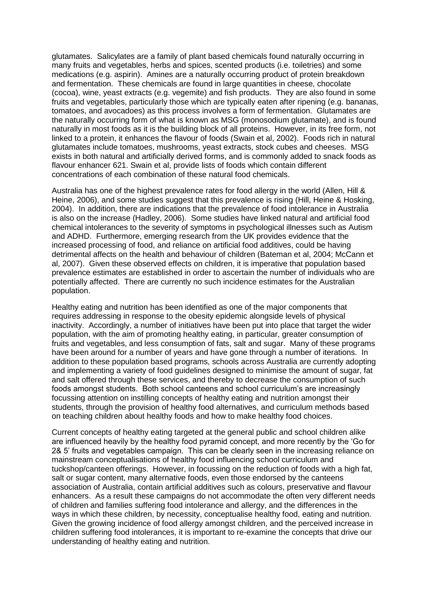glutamates. Salicylates are a family of plant based chemicals found naturally occurring in many fruits and vegetables, herbs and spices, scented products (i.e. toiletries) and some medications (e.g. aspirin). Amines are a naturally occurring product of protein breakdown and fermentation. These chemicals are found in large quantities in cheese, chocolate (cocoa), wine, yeast extracts (e.g. vegemite) and fish products. They are also found in some fruits and vegetables, particularly those which are typically eaten after ripening (e.g. bananas, tomatoes, and avocadoes) as this process involves a form of fermentation. Glutamates are the naturally occurring form of what is known as MSG (monosodium glutamate), and is found naturally in most foods as it is the building block of all proteins. However, in its free form, not linked to a protein, it enhances the flavour of foods (Swain et al, 2002). Foods rich in natural glutamates include tomatoes, mushrooms, yeast extracts, stock cubes and cheeses. MSG exists in both natural and artificially derived forms, and is commonly added to snack foods as flavour enhancer 621. Swain et al, provide lists of foods which contain different concentrations of each combination of these natural food chemicals.

Australia has one of the highest prevalence rates for food allergy in the world (Allen, Hill & Heine, 2006), and some studies suggest that this prevalence is rising (Hill, Heine & Hosking, 2004). In addition, there are indications that the prevalence of food intolerance in Australia is also on the increase (Hadley, 2006). Some studies have linked natural and artificial food chemical intolerances to the severity of symptoms in psychological illnesses such as Autism and ADHD. Furthermore, emerging research from the UK provides evidence that the increased processing of food, and reliance on artificial food additives, could be having detrimental affects on the health and behaviour of children (Bateman et al, 2004; McCann et al, 2007). Given these observed effects on children, it is imperative that population based prevalence estimates are established in order to ascertain the number of individuals who are potentially affected. There are currently no such incidence estimates for the Australian population.

Healthy eating and nutrition has been identified as one of the major components that requires addressing in response to the obesity epidemic alongside levels of physical inactivity. Accordingly, a number of initiatives have been put into place that target the wider population, with the aim of promoting healthy eating, in particular, greater consumption of fruits and vegetables, and less consumption of fats, salt and sugar. Many of these programs have been around for a number of years and have gone through a number of iterations. In addition to these population based programs, schools across Australia are currently adopting and implementing a variety of food guidelines designed to minimise the amount of sugar, fat and salt offered through these services, and thereby to decrease the consumption of such foods amongst students. Both school canteens and school curriculum's are increasingly focussing attention on instilling concepts of healthy eating and nutrition amongst their students, through the provision of healthy food alternatives, and curriculum methods based on teaching children about healthy foods and how to make healthy food choices.

Current concepts of healthy eating targeted at the general public and school children alike are influenced heavily by the healthy food pyramid concept, and more recently by the 'Go for 2& 5' fruits and vegetables campaign. This can be clearly seen in the increasing reliance on mainstream conceptualisations of healthy food influencing school curriculum and tuckshop/canteen offerings. However, in focussing on the reduction of foods with a high fat, salt or sugar content, many alternative foods, even those endorsed by the canteens association of Australia, contain artificial additives such as colours, preservative and flavour enhancers. As a result these campaigns do not accommodate the often very different needs of children and families suffering food intolerance and allergy, and the differences in the ways in which these children, by necessity, conceptualise healthy food, eating and nutrition. Given the growing incidence of food allergy amongst children, and the perceived increase in children suffering food intolerances, it is important to re-examine the concepts that drive our understanding of healthy eating and nutrition.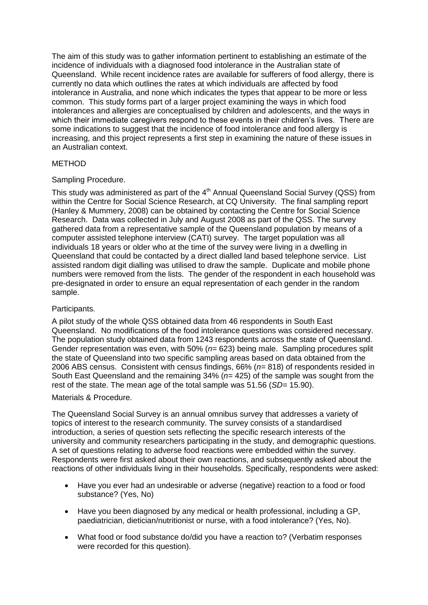The aim of this study was to gather information pertinent to establishing an estimate of the incidence of individuals with a diagnosed food intolerance in the Australian state of Queensland. While recent incidence rates are available for sufferers of food allergy, there is currently no data which outlines the rates at which individuals are affected by food intolerance in Australia, and none which indicates the types that appear to be more or less common. This study forms part of a larger project examining the ways in which food intolerances and allergies are conceptualised by children and adolescents, and the ways in which their immediate caregivers respond to these events in their children's lives. There are some indications to suggest that the incidence of food intolerance and food allergy is increasing, and this project represents a first step in examining the nature of these issues in an Australian context.

# METHOD

# Sampling Procedure.

This study was administered as part of the  $4<sup>th</sup>$  Annual Queensland Social Survey (QSS) from within the Centre for Social Science Research, at CQ University. The final sampling report (Hanley & Mummery, 2008) can be obtained by contacting the Centre for Social Science Research. Data was collected in July and August 2008 as part of the QSS. The survey gathered data from a representative sample of the Queensland population by means of a computer assisted telephone interview (CATI) survey. The target population was all individuals 18 years or older who at the time of the survey were living in a dwelling in Queensland that could be contacted by a direct dialled land based telephone service. List assisted random digit dialling was utilised to draw the sample. Duplicate and mobile phone numbers were removed from the lists. The gender of the respondent in each household was pre-designated in order to ensure an equal representation of each gender in the random sample.

# Participants.

A pilot study of the whole QSS obtained data from 46 respondents in South East Queensland. No modifications of the food intolerance questions was considered necessary. The population study obtained data from 1243 respondents across the state of Queensland. Gender representation was even, with 50% (*n=* 623) being male. Sampling procedures split the state of Queensland into two specific sampling areas based on data obtained from the 2006 ABS census. Consistent with census findings, 66% (*n=* 818) of respondents resided in South East Queensland and the remaining 34% (*n=* 425) of the sample was sought from the rest of the state. The mean age of the total sample was 51.56 (*SD=* 15.90).

#### Materials & Procedure.

The Queensland Social Survey is an annual omnibus survey that addresses a variety of topics of interest to the research community. The survey consists of a standardised introduction, a series of question sets reflecting the specific research interests of the university and community researchers participating in the study, and demographic questions. A set of questions relating to adverse food reactions were embedded within the survey. Respondents were first asked about their own reactions, and subsequently asked about the reactions of other individuals living in their households. Specifically, respondents were asked:

- Have you ever had an undesirable or adverse (negative) reaction to a food or food substance? (Yes, No)
- Have you been diagnosed by any medical or health professional, including a GP, paediatrician, dietician/nutritionist or nurse, with a food intolerance? (Yes, No).
- What food or food substance do/did you have a reaction to? (Verbatim responses were recorded for this question).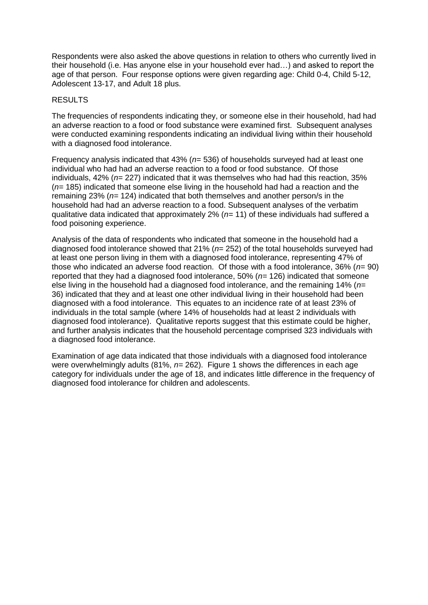Respondents were also asked the above questions in relation to others who currently lived in their household (i.e. Has anyone else in your household ever had…) and asked to report the age of that person. Four response options were given regarding age: Child 0-4, Child 5-12, Adolescent 13-17, and Adult 18 plus.

# RESULTS

The frequencies of respondents indicating they, or someone else in their household, had had an adverse reaction to a food or food substance were examined first. Subsequent analyses were conducted examining respondents indicating an individual living within their household with a diagnosed food intolerance.

Frequency analysis indicated that 43% (*n=* 536) of households surveyed had at least one individual who had had an adverse reaction to a food or food substance. Of those individuals, 42% (*n=* 227) indicated that it was themselves who had had this reaction, 35% (*n=* 185) indicated that someone else living in the household had had a reaction and the remaining 23% (*n=* 124) indicated that both themselves and another person/s in the household had had an adverse reaction to a food. Subsequent analyses of the verbatim qualitative data indicated that approximately 2% (*n=* 11) of these individuals had suffered a food poisoning experience.

Analysis of the data of respondents who indicated that someone in the household had a diagnosed food intolerance showed that 21% (*n=* 252) of the total households surveyed had at least one person living in them with a diagnosed food intolerance, representing 47% of those who indicated an adverse food reaction. Of those with a food intolerance, 36% (*n=* 90) reported that they had a diagnosed food intolerance, 50% (*n=* 126) indicated that someone else living in the household had a diagnosed food intolerance, and the remaining 14% (*n=*  36) indicated that they and at least one other individual living in their household had been diagnosed with a food intolerance. This equates to an incidence rate of at least 23% of individuals in the total sample (where 14% of households had at least 2 individuals with diagnosed food intolerance). Qualitative reports suggest that this estimate could be higher, and further analysis indicates that the household percentage comprised 323 individuals with a diagnosed food intolerance.

Examination of age data indicated that those individuals with a diagnosed food intolerance were overwhelmingly adults (81%, *n=* 262). Figure 1 shows the differences in each age category for individuals under the age of 18, and indicates little difference in the frequency of diagnosed food intolerance for children and adolescents.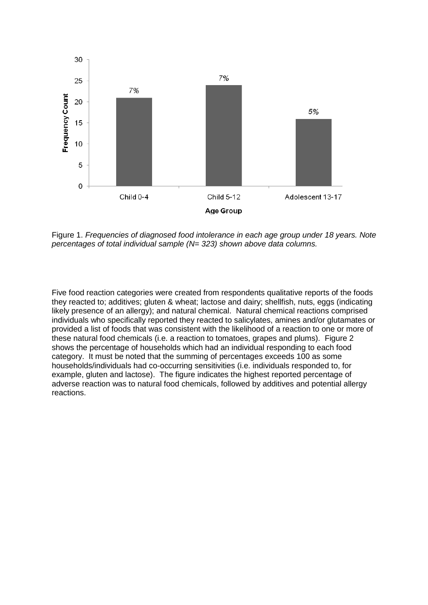

Figure 1. *Frequencies of diagnosed food intolerance in each age group under 18 years. Note percentages of total individual sample (N= 323) shown above data columns.*

Five food reaction categories were created from respondents qualitative reports of the foods they reacted to; additives; gluten & wheat; lactose and dairy; shellfish, nuts, eggs (indicating likely presence of an allergy); and natural chemical. Natural chemical reactions comprised individuals who specifically reported they reacted to salicylates, amines and/or glutamates or provided a list of foods that was consistent with the likelihood of a reaction to one or more of these natural food chemicals (i.e. a reaction to tomatoes, grapes and plums). Figure 2 shows the percentage of households which had an individual responding to each food category. It must be noted that the summing of percentages exceeds 100 as some households/individuals had co-occurring sensitivities (i.e. individuals responded to, for example, gluten and lactose). The figure indicates the highest reported percentage of adverse reaction was to natural food chemicals, followed by additives and potential allergy reactions.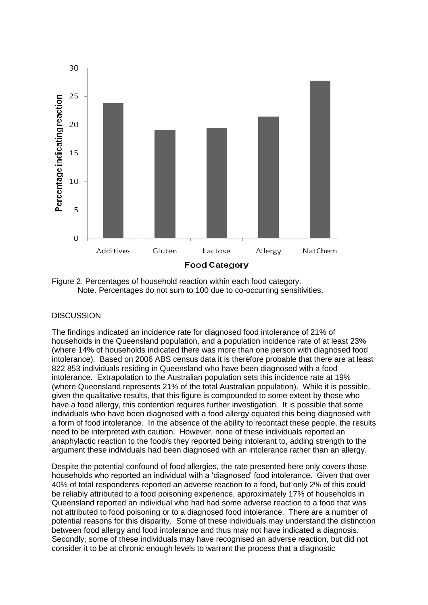

Figure 2. Percentages of household reaction within each food category. Note. Percentages do not sum to 100 due to co-occurring sensitivities.

# **DISCUSSION**

The findings indicated an incidence rate for diagnosed food intolerance of 21% of households in the Queensland population, and a population incidence rate of at least 23% (where 14% of households indicated there was more than one person with diagnosed food intolerance). Based on 2006 ABS census data it is therefore probable that there are at least 822 853 individuals residing in Queensland who have been diagnosed with a food intolerance. Extrapolation to the Australian population sets this incidence rate at 19% (where Queensland represents 21% of the total Australian population). While it is possible, given the qualitative results, that this figure is compounded to some extent by those who have a food allergy, this contention requires further investigation. It is possible that some individuals who have been diagnosed with a food allergy equated this being diagnosed with a form of food intolerance. In the absence of the ability to recontact these people, the results need to be interpreted with caution. However, none of these individuals reported an anaphylactic reaction to the food/s they reported being intolerant to, adding strength to the argument these individuals had been diagnosed with an intolerance rather than an allergy.

Despite the potential confound of food allergies, the rate presented here only covers those households who reported an individual with a 'diagnosed' food intolerance. Given that over 40% of total respondents reported an adverse reaction to a food, but only 2% of this could be reliably attributed to a food poisoning experience, approximately 17% of households in Queensland reported an individual who had had some adverse reaction to a food that was not attributed to food poisoning or to a diagnosed food intolerance. There are a number of potential reasons for this disparity. Some of these individuals may understand the distinction between food allergy and food intolerance and thus may not have indicated a diagnosis. Secondly, some of these individuals may have recognised an adverse reaction, but did not consider it to be at chronic enough levels to warrant the process that a diagnostic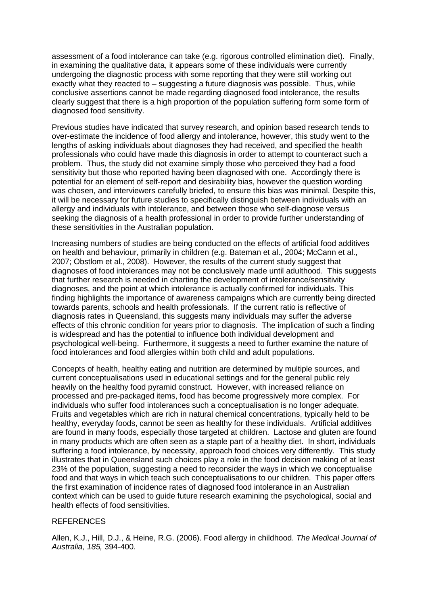assessment of a food intolerance can take (e.g. rigorous controlled elimination diet). Finally, in examining the qualitative data, it appears some of these individuals were currently undergoing the diagnostic process with some reporting that they were still working out exactly what they reacted to – suggesting a future diagnosis was possible. Thus, while conclusive assertions cannot be made regarding diagnosed food intolerance, the results clearly suggest that there is a high proportion of the population suffering form some form of diagnosed food sensitivity.

Previous studies have indicated that survey research, and opinion based research tends to over-estimate the incidence of food allergy and intolerance, however, this study went to the lengths of asking individuals about diagnoses they had received, and specified the health professionals who could have made this diagnosis in order to attempt to counteract such a problem. Thus, the study did not examine simply those who perceived they had a food sensitivity but those who reported having been diagnosed with one. Accordingly there is potential for an element of self-report and desirability bias, however the question wording was chosen, and interviewers carefully briefed, to ensure this bias was minimal. Despite this, it will be necessary for future studies to specifically distinguish between individuals with an allergy and individuals with intolerance, and between those who self-diagnose versus seeking the diagnosis of a health professional in order to provide further understanding of these sensitivities in the Australian population.

Increasing numbers of studies are being conducted on the effects of artificial food additives on health and behaviour, primarily in children (e.g. Bateman et al., 2004; McCann et al., 2007; Obstlom et al., 2008). However, the results of the current study suggest that diagnoses of food intolerances may not be conclusively made until adulthood. This suggests that further research is needed in charting the development of intolerance/sensitivity diagnoses, and the point at which intolerance is actually confirmed for individuals. This finding highlights the importance of awareness campaigns which are currently being directed towards parents, schools and health professionals. If the current ratio is reflective of diagnosis rates in Queensland, this suggests many individuals may suffer the adverse effects of this chronic condition for years prior to diagnosis. The implication of such a finding is widespread and has the potential to influence both individual development and psychological well-being. Furthermore, it suggests a need to further examine the nature of food intolerances and food allergies within both child and adult populations.

Concepts of health, healthy eating and nutrition are determined by multiple sources, and current conceptualisations used in educational settings and for the general public rely heavily on the healthy food pyramid construct. However, with increased reliance on processed and pre-packaged items, food has become progressively more complex. For individuals who suffer food intolerances such a conceptualisation is no longer adequate. Fruits and vegetables which are rich in natural chemical concentrations, typically held to be healthy, everyday foods, cannot be seen as healthy for these individuals. Artificial additives are found in many foods, especially those targeted at children. Lactose and gluten are found in many products which are often seen as a staple part of a healthy diet. In short, individuals suffering a food intolerance, by necessity, approach food choices very differently. This study illustrates that in Queensland such choices play a role in the food decision making of at least 23% of the population, suggesting a need to reconsider the ways in which we conceptualise food and that ways in which teach such conceptualisations to our children. This paper offers the first examination of incidence rates of diagnosed food intolerance in an Australian context which can be used to guide future research examining the psychological, social and health effects of food sensitivities.

#### **REFERENCES**

Allen, K.J., Hill, D.J., & Heine, R.G. (2006). Food allergy in childhood. *The Medical Journal of Australia, 185,* 394-400.